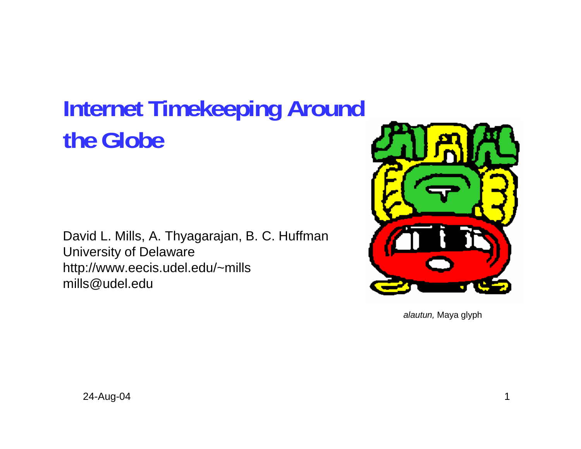# **Internet Timekeeping Around the Globe**

David L. Mills, A. Thyagarajan, B. C. Huffman University of Delaware http://www.eecis.udel.edu/~mills mills@udel.edu



*alautun,* Maya glyph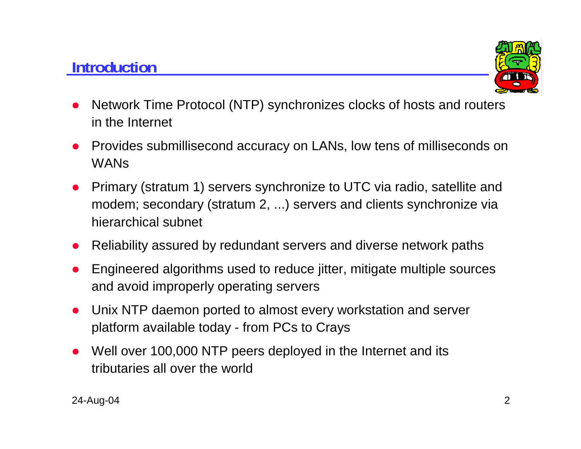# **Introduction**



- $\bullet$  Network Time Protocol (NTP) synchronizes clocks of hosts and routers in the Internet
- O Provides submillisecond accuracy on LANs, low tens of milliseconds on **WANs**
- O Primary (stratum 1) servers synchronize to UTC via radio, satellite and modem; secondary (stratum 2, ...) servers and clients synchronize via hierarchical subnet
- Reliability assured by redundant servers and diverse network paths
- O Engineered algorithms used to reduce jitter, mitigate multiple sources and avoid improperly operating servers
- O Unix NTP daemon ported to almost every workstation and server platform available today - from PCs to Crays
- O Well over 100,000 NTP peers deployed in the Internet and its tributaries all over the world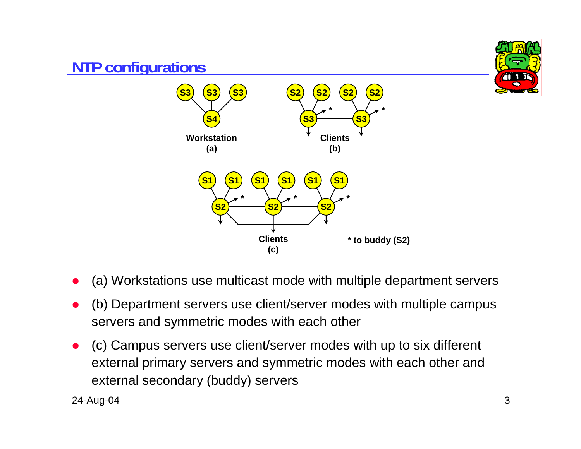

- O (a) Workstations use multicast mode with multiple department servers
- O (b) Department servers use client/server modes with multiple campus servers and symmetric modes with each other
- O (c) Campus servers use client/server modes with up to six different external primary servers and symmetric modes with each other and external secondary (buddy) servers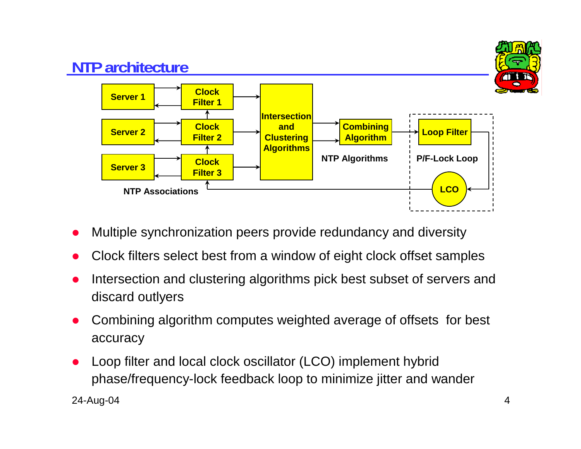

- O Multiple synchronization peers provide redundancy and diversity
- O Clock filters select best from a window of eight clock offset samples
- O Intersection and clustering algorithms pick best subset of servers and discard outlyers
- O Combining algorithm computes weighted average of offsets for best accuracy
- O Loop filter and local clock oscillator (LCO) implement hybrid phase/frequency-lock feedback loop to minimize jitter and wander

24-Aug-04 4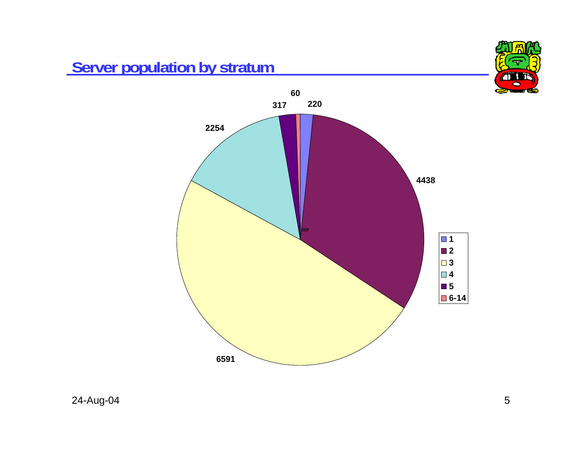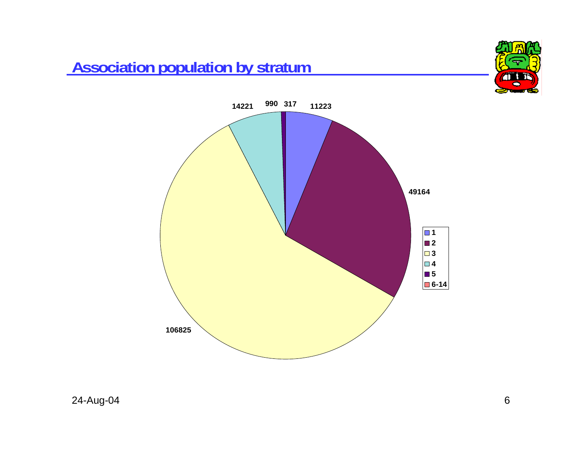# **Association population by stratum**



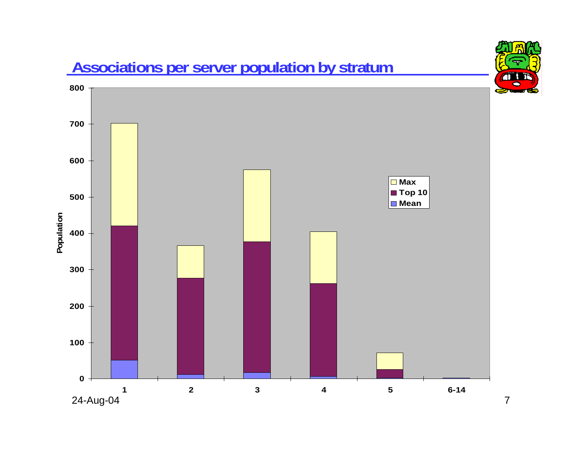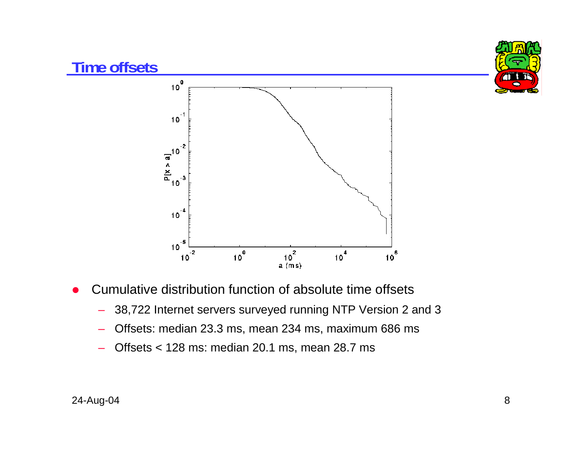

- $\bullet$  Cumulative distribution function of absolute time offsets
	- –38,722 Internet servers surveyed running NTP Version 2 and 3
	- –Offsets: median 23.3 ms, mean 234 ms, maximum 686 ms
	- Offsets < 128 ms: median 20.1 ms, mean 28.7 ms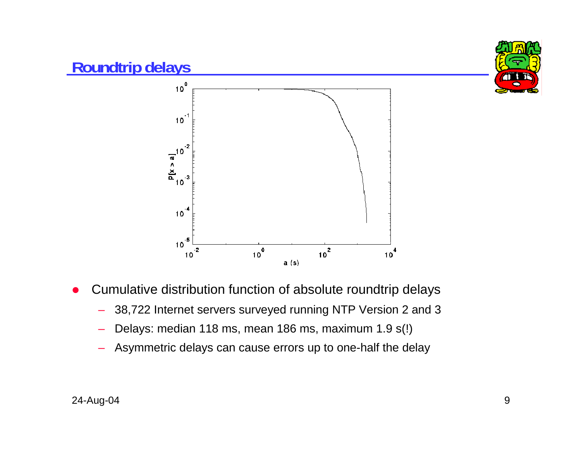

- O Cumulative distribution function of absolute roundtrip delays
	- –38,722 Internet servers surveyed running NTP Version 2 and 3
	- Delays: median 118 ms, mean 186 ms, maximum 1.9 s(!)
	- Asymmetric delays can cause errors up to one-half the delay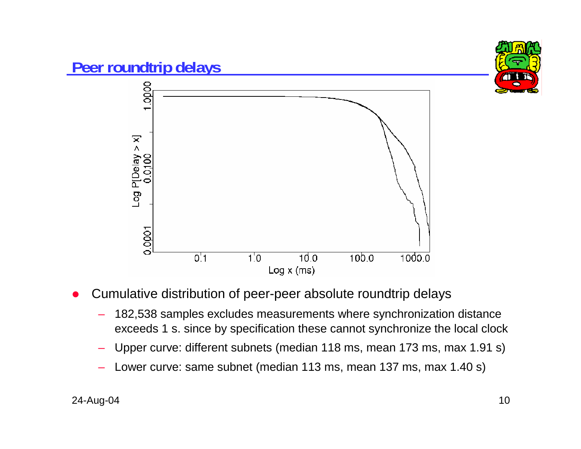

- O Cumulative distribution of peer-peer absolute roundtrip delays
	- 182,538 samples excludes measurements where synchronization distance exceeds 1 s. since by specification these cannot synchronize the local clock
	- Upper curve: different subnets (median 118 ms, mean 173 ms, max 1.91 s)
	- Lower curve: same subnet (median 113 ms, mean 137 ms, max 1.40 s)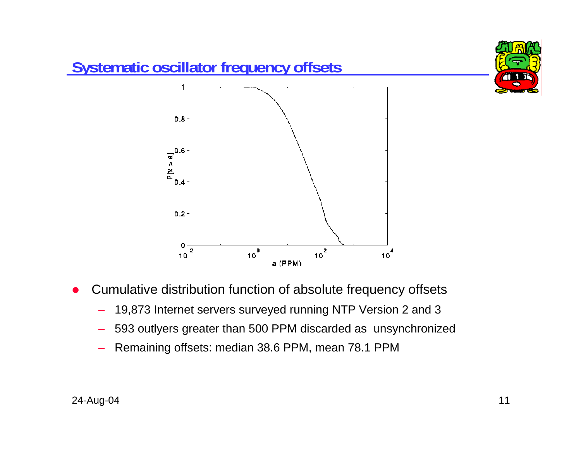

- $\bullet$  Cumulative distribution function of absolute frequency offsets
	- –19,873 Internet servers surveyed running NTP Version 2 and 3
	- –593 outlyers greater than 500 PPM discarded as unsynchronized
	- Remaining offsets: median 38.6 PPM, mean 78.1 PPM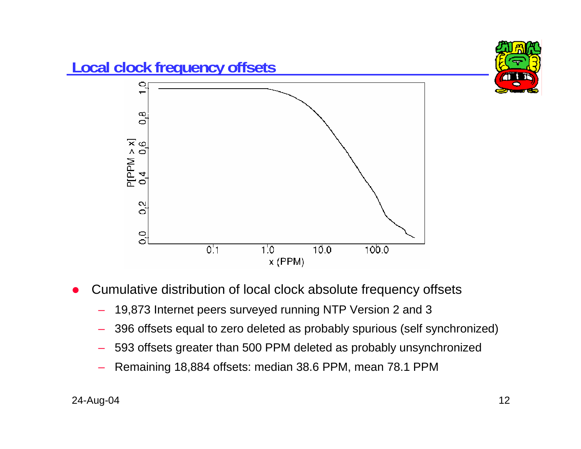

- O Cumulative distribution of local clock absolute frequency offsets
	- 19,873 Internet peers surveyed running NTP Version 2 and 3
	- 396 offsets equal to zero deleted as probably spurious (self synchronized)
	- 593 offsets greater than 500 PPM deleted as probably unsynchronized
	- Remaining 18,884 offsets: median 38.6 PPM, mean 78.1 PPM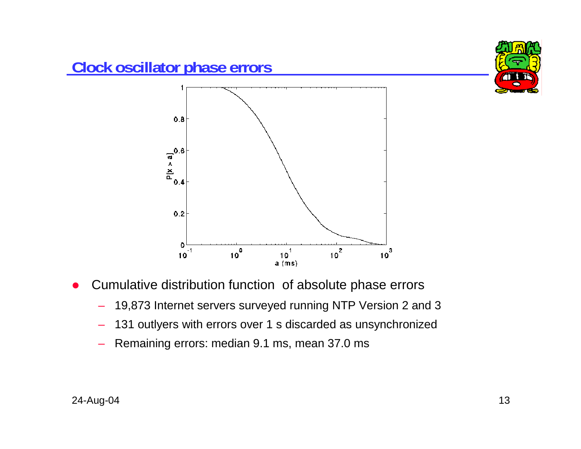

- O Cumulative distribution function of absolute phase errors
	- 19,873 Internet servers surveyed running NTP Version 2 and 3
	- 131 outlyers with errors over 1 s discarded as unsynchronized
	- –Remaining errors: median 9.1 ms, mean 37.0 ms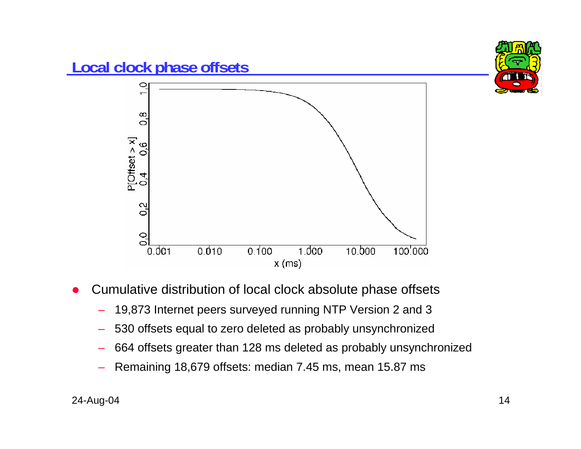

- O Cumulative distribution of local clock absolute phase offsets
	- 19,873 Internet peers surveyed running NTP Version 2 and 3
	- 530 offsets equal to zero deleted as probably unsynchronized
	- 664 offsets greater than 128 ms deleted as probably unsynchronized
	- Remaining 18,679 offsets: median 7.45 ms, mean 15.87 ms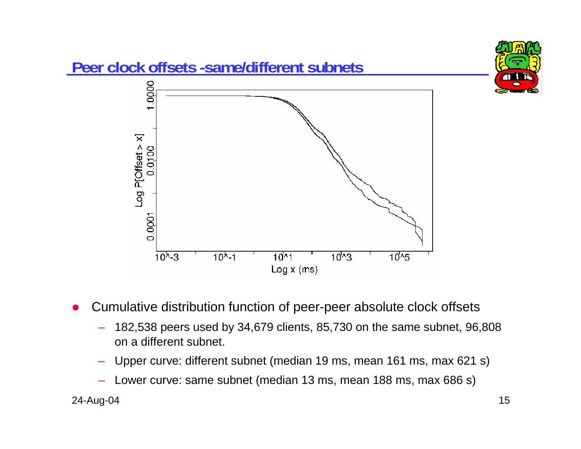

O Cumulative distribution function of peer-peer absolute clock offsets

- 182,538 peers used by 34,679 clients, 85,730 on the same subnet, 96,808 on a different subnet.
- Upper curve: different subnet (median 19 ms, mean 161 ms, max 621 s)
- Lower curve: same subnet (median 13 ms, mean 188 ms, max 686 s)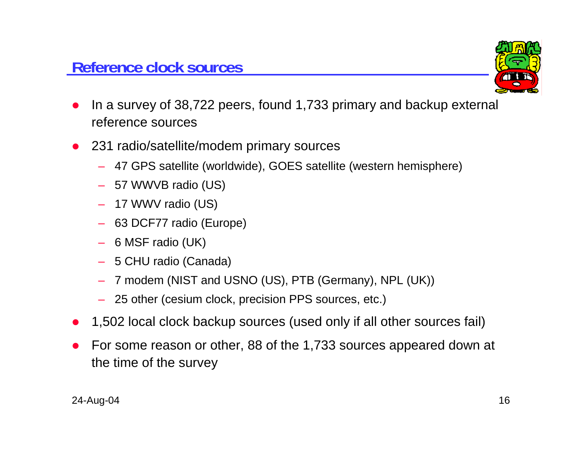

- O In a survey of 38,722 peers, found 1,733 primary and backup external reference sources
- 231 radio/satellite/modem primary sources
	- 47 GPS satellite (worldwide), GOES satellite (western hemisphere)
	- 57 WWVB radio (US)
	- 17 WWV radio (US)
	- 63 DCF77 radio (Europe)
	- 6 MSF radio (UK)
	- 5 CHU radio (Canada)
	- 7 modem (NIST and USNO (US), PTB (Germany), NPL (UK))
	- 25 other (cesium clock, precision PPS sources, etc.)
- O 1,502 local clock backup sources (used only if all other sources fail)
- O For some reason or other, 88 of the 1,733 sources appeared down at the time of the survey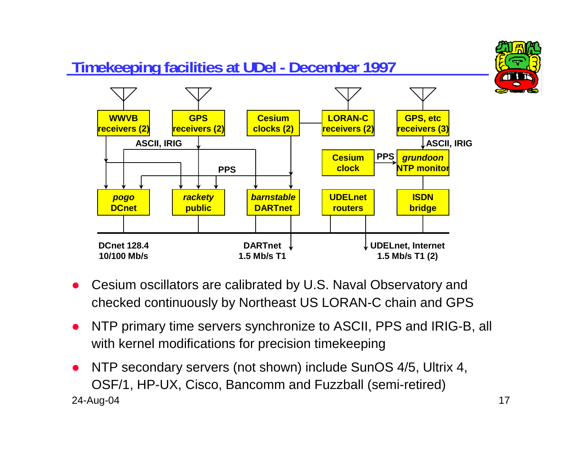

- O Cesium oscillators are calibrated by U.S. Naval Observatory and checked continuously by Northeast US LORAN-C chain and GPS
- $\bullet$  NTP primary time servers synchronize to ASCII, PPS and IRIG-B, all with kernel modifications for precision timekeeping
- 24-Aug-04 17 O NTP secondary servers (not shown) include SunOS 4/5, Ultrix 4, OSF/1, HP-UX, Cisco, Bancomm and Fuzzball (semi-retired)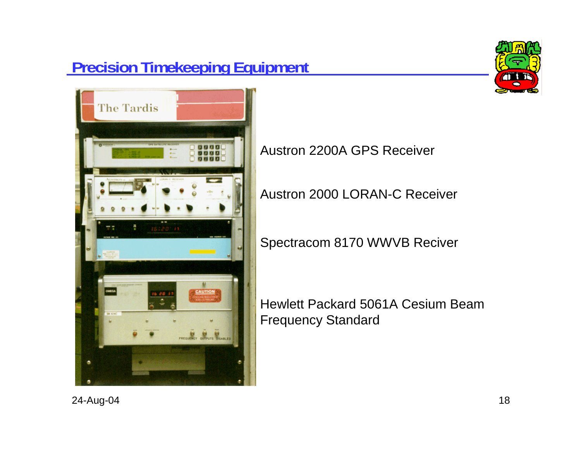# **Precision Timekeeping Equipment**





Austron 2200A GPS Receiver

Austron 2000 LORAN-C Receiver

Spectracom 8170 WWVB Reciver

Hewlett Packard 5061A Cesium Beam Frequency Standard

24-Aug-04 18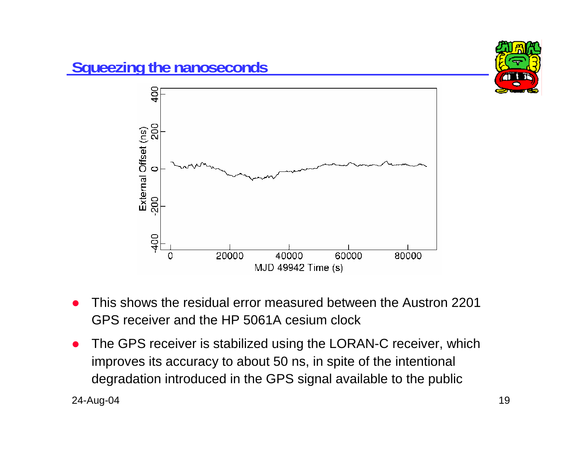

- O This shows the residual error measured between the Austron 2201 GPS receiver and the HP 5061A cesium clock
- O The GPS receiver is stabilized using the LORAN-C receiver, which improves its accuracy to about 50 ns, in spite of the intentional degradation introduced in the GPS signal available to the public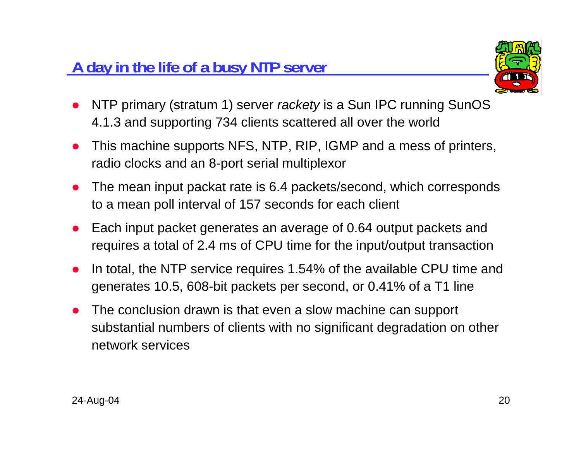# **A day in the life of a busy NTP server**



- O NTP primary (stratum 1) server *rackety* is a Sun IPC running SunOS 4.1.3 and supporting 734 clients scattered all over the world
- O This machine supports NFS, NTP, RIP, IGMP and a mess of printers, radio clocks and an 8-port serial multiplexor
- O The mean input packat rate is 6.4 packets/second, which corresponds to a mean poll interval of 157 seconds for each client
- O Each input packet generates an average of 0.64 output packets and requires a total of 2.4 ms of CPU time for the input/output transaction
- O In total, the NTP service requires 1.54% of the available CPU time and generates 10.5, 608-bit packets per second, or 0.41% of a T1 line
- O The conclusion drawn is that even a slow machine can support substantial numbers of clients with no significant degradation on other network services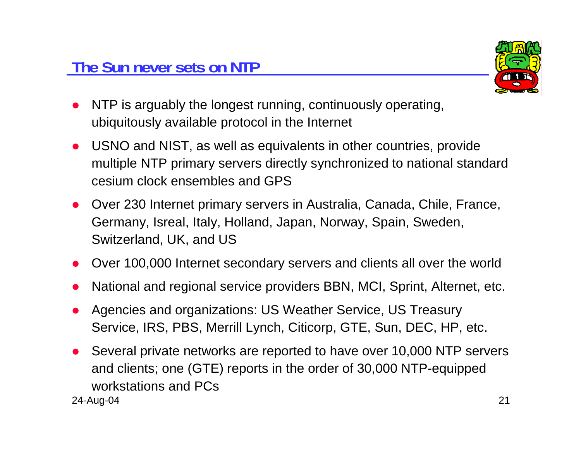

- $\bullet$  NTP is arguably the longest running, continuously operating, ubiquitously available protocol in the Internet
- USNO and NIST, as well as equivalents in other countries, provide multiple NTP primary servers directly synchronized to national standard cesium clock ensembles and GPS
- O Over 230 Internet primary servers in Australia, Canada, Chile, France, Germany, Isreal, Italy, Holland, Japan, Norway, Spain, Sweden, Switzerland, UK, and US
- O Over 100,000 Internet secondary servers and clients all over the world
- O National and regional service providers BBN, MCI, Sprint, Alternet, etc.
- Agencies and organizations: US Weather Service, US Treasury Service, IRS, PBS, Merrill Lynch, Citicorp, GTE, Sun, DEC, HP, etc.
- 24-Aug-04 21 O Several private networks are reported to have over 10,000 NTP servers and clients; one (GTE) reports in the order of 30,000 NTP-equipped workstations and PCs